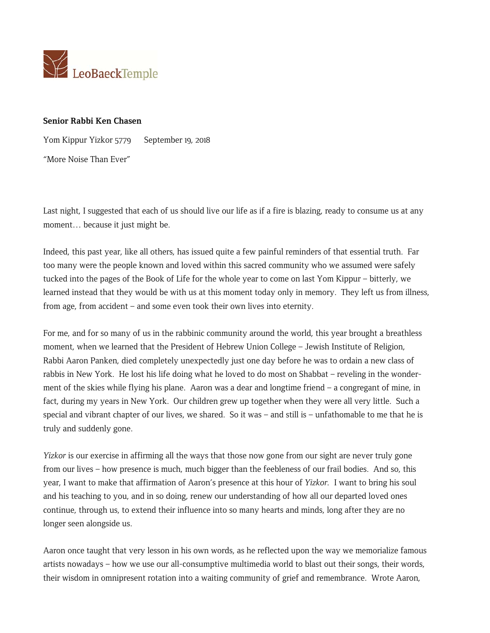

## **Senior Rabbi Ken Chasen**

Yom Kippur Yizkor 5779 September 19, 2018

"More Noise Than Ever"

Last night, I suggested that each of us should live our life as if a fire is blazing, ready to consume us at any moment… because it just might be.

Indeed, this past year, like all others, has issued quite a few painful reminders of that essential truth. Far too many were the people known and loved within this sacred community who we assumed were safely tucked into the pages of the Book of Life for the whole year to come on last Yom Kippur – bitterly, we learned instead that they would be with us at this moment today only in memory. They left us from illness, from age, from accident – and some even took their own lives into eternity.

For me, and for so many of us in the rabbinic community around the world, this year brought a breathless moment, when we learned that the President of Hebrew Union College – Jewish Institute of Religion, Rabbi Aaron Panken, died completely unexpectedly just one day before he was to ordain a new class of rabbis in New York. He lost his life doing what he loved to do most on Shabbat – reveling in the wonderment of the skies while flying his plane. Aaron was a dear and longtime friend – a congregant of mine, in fact, during my years in New York. Our children grew up together when they were all very little. Such a special and vibrant chapter of our lives, we shared. So it was – and still is – unfathomable to me that he is truly and suddenly gone.

*Yizkor* is our exercise in affirming all the ways that those now gone from our sight are never truly gone from our lives – how presence is much, much bigger than the feebleness of our frail bodies. And so, this year, I want to make that affirmation of Aaron's presence at this hour of *Yizkor.* I want to bring his soul and his teaching to you, and in so doing, renew our understanding of how all our departed loved ones continue, through us, to extend their influence into so many hearts and minds, long after they are no longer seen alongside us.

Aaron once taught that very lesson in his own words, as he reflected upon the way we memorialize famous artists nowadays – how we use our all-consumptive multimedia world to blast out their songs, their words, their wisdom in omnipresent rotation into a waiting community of grief and remembrance. Wrote Aaron,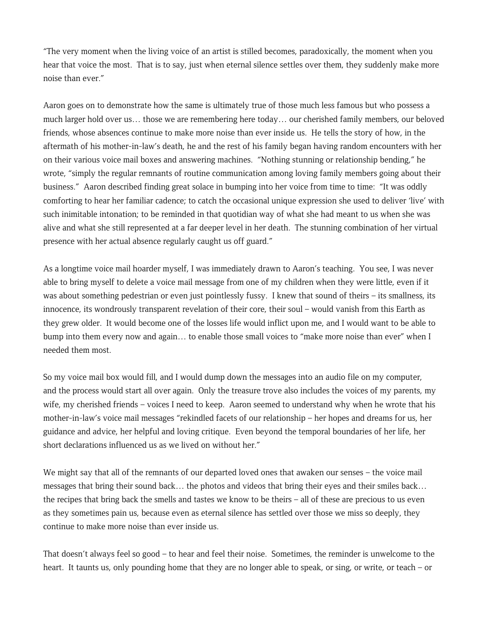"The very moment when the living voice of an artist is stilled becomes, paradoxically, the moment when you hear that voice the most. That is to say, just when eternal silence settles over them, they suddenly make more noise than ever."

Aaron goes on to demonstrate how the same is ultimately true of those much less famous but who possess a much larger hold over us… those we are remembering here today… our cherished family members, our beloved friends, whose absences continue to make more noise than ever inside us. He tells the story of how, in the aftermath of his mother-in-law's death, he and the rest of his family began having random encounters with her on their various voice mail boxes and answering machines. "Nothing stunning or relationship bending," he wrote, "simply the regular remnants of routine communication among loving family members going about their business." Aaron described finding great solace in bumping into her voice from time to time: "It was oddly comforting to hear her familiar cadence; to catch the occasional unique expression she used to deliver 'live' with such inimitable intonation; to be reminded in that quotidian way of what she had meant to us when she was alive and what she still represented at a far deeper level in her death. The stunning combination of her virtual presence with her actual absence regularly caught us off guard."

As a longtime voice mail hoarder myself, I was immediately drawn to Aaron's teaching. You see, I was never able to bring myself to delete a voice mail message from one of my children when they were little, even if it was about something pedestrian or even just pointlessly fussy. I knew that sound of theirs – its smallness, its innocence, its wondrously transparent revelation of their core, their soul – would vanish from this Earth as they grew older. It would become one of the losses life would inflict upon me, and I would want to be able to bump into them every now and again… to enable those small voices to "make more noise than ever" when I needed them most.

So my voice mail box would fill, and I would dump down the messages into an audio file on my computer, and the process would start all over again. Only the treasure trove also includes the voices of my parents, my wife, my cherished friends – voices I need to keep. Aaron seemed to understand why when he wrote that his mother-in-law's voice mail messages "rekindled facets of our relationship – her hopes and dreams for us, her guidance and advice, her helpful and loving critique. Even beyond the temporal boundaries of her life, her short declarations influenced us as we lived on without her."

We might say that all of the remnants of our departed loved ones that awaken our senses – the voice mail messages that bring their sound back… the photos and videos that bring their eyes and their smiles back… the recipes that bring back the smells and tastes we know to be theirs – all of these are precious to us even as they sometimes pain us, because even as eternal silence has settled over those we miss so deeply, they continue to make more noise than ever inside us.

That doesn't always feel so good – to hear and feel their noise. Sometimes, the reminder is unwelcome to the heart. It taunts us, only pounding home that they are no longer able to speak, or sing, or write, or teach – or